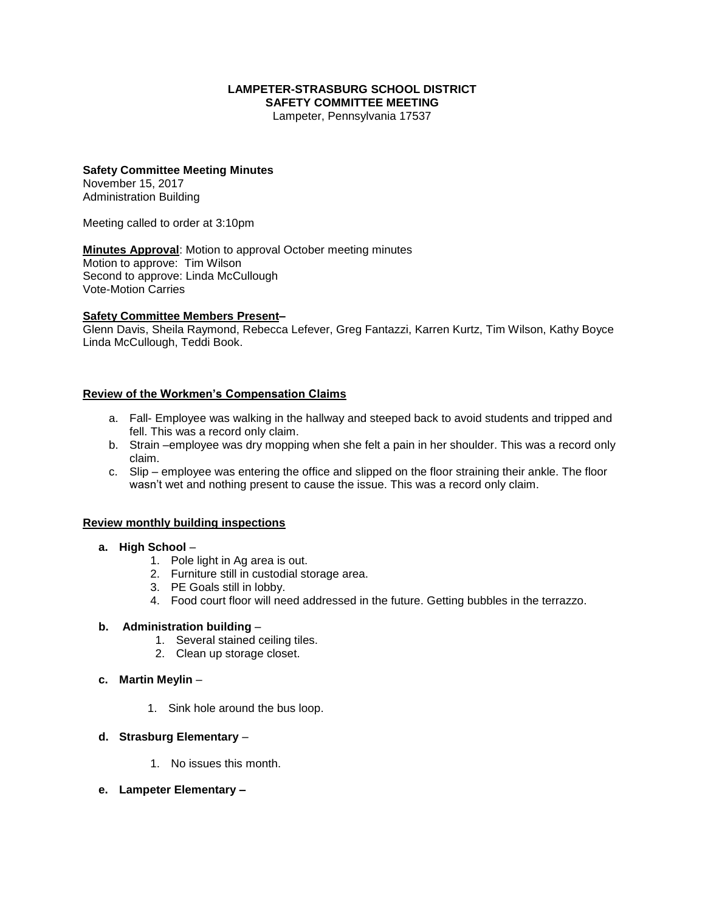#### **LAMPETER-STRASBURG SCHOOL DISTRICT SAFETY COMMITTEE MEETING**

Lampeter, Pennsylvania 17537

## **Safety Committee Meeting Minutes**

November 15, 2017 Administration Building

Meeting called to order at 3:10pm

**Minutes Approval**: Motion to approval October meeting minutes Motion to approve: Tim Wilson Second to approve: Linda McCullough Vote-Motion Carries

#### **Safety Committee Members Present–**

Glenn Davis, Sheila Raymond, Rebecca Lefever, Greg Fantazzi, Karren Kurtz, Tim Wilson, Kathy Boyce Linda McCullough, Teddi Book.

#### **Review of the Workmen's Compensation Claims**

- a. Fall- Employee was walking in the hallway and steeped back to avoid students and tripped and fell. This was a record only claim.
- b. Strain –employee was dry mopping when she felt a pain in her shoulder. This was a record only claim.
- c. Slip employee was entering the office and slipped on the floor straining their ankle. The floor wasn't wet and nothing present to cause the issue. This was a record only claim.

#### **Review monthly building inspections**

- **a. High School**
	- 1. Pole light in Ag area is out.
	- 2. Furniture still in custodial storage area.
	- 3. PE Goals still in lobby.
	- 4. Food court floor will need addressed in the future. Getting bubbles in the terrazzo.

#### **b. Administration building** –

- 1. Several stained ceiling tiles.
- 2. Clean up storage closet.
- **c. Martin Meylin**
	- 1. Sink hole around the bus loop.

## **d. Strasburg Elementary** –

- 1. No issues this month.
- **e. Lampeter Elementary –**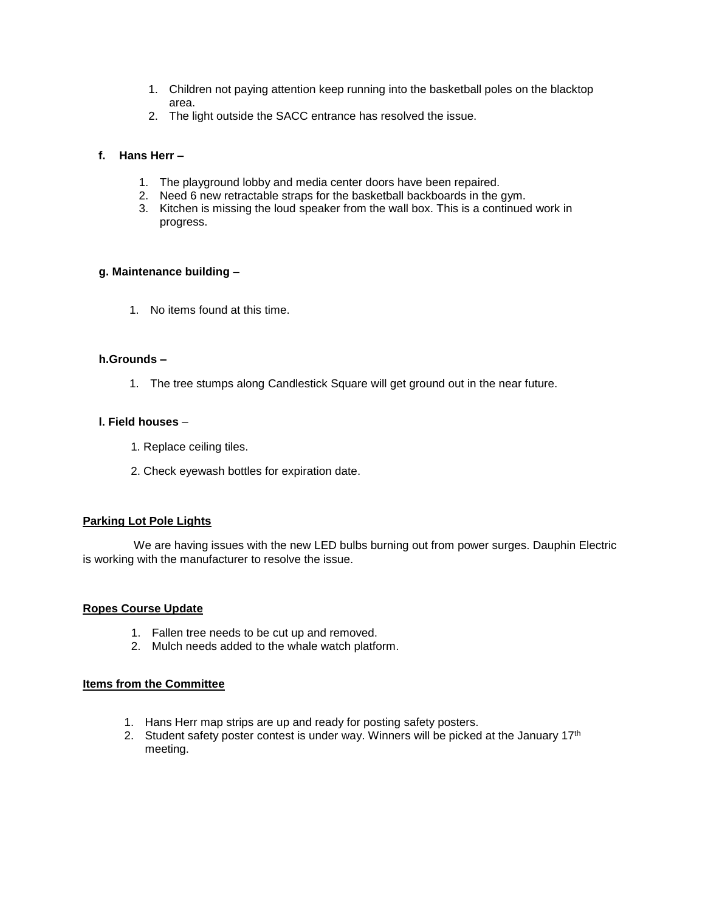- 1. Children not paying attention keep running into the basketball poles on the blacktop area.
- 2. The light outside the SACC entrance has resolved the issue.

## **f. Hans Herr –**

- 1. The playground lobby and media center doors have been repaired.
- 2. Need 6 new retractable straps for the basketball backboards in the gym.
- 3. Kitchen is missing the loud speaker from the wall box. This is a continued work in progress.

## **g. Maintenance building –**

1. No items found at this time.

## **h.Grounds –**

1. The tree stumps along Candlestick Square will get ground out in the near future.

# **l. Field houses** –

- 1. Replace ceiling tiles.
- 2. Check eyewash bottles for expiration date.

## **Parking Lot Pole Lights**

 We are having issues with the new LED bulbs burning out from power surges. Dauphin Electric is working with the manufacturer to resolve the issue.

## **Ropes Course Update**

- 1. Fallen tree needs to be cut up and removed.
- 2. Mulch needs added to the whale watch platform.

## **Items from the Committee**

- 1. Hans Herr map strips are up and ready for posting safety posters.
- 2. Student safety poster contest is under way. Winners will be picked at the January  $17<sup>th</sup>$ meeting.